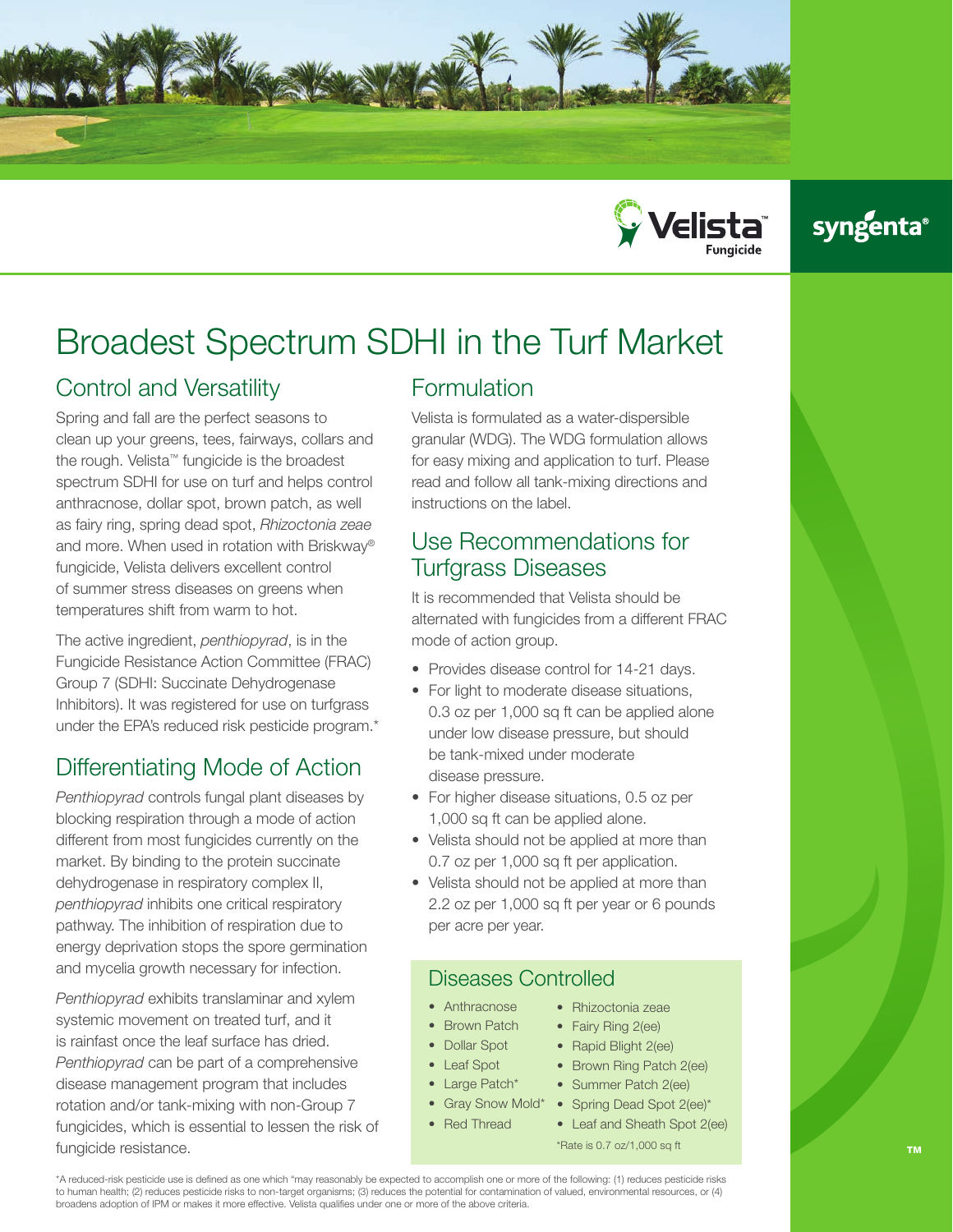



# syngenta®

# Broadest Spectrum SDHI in the Turf Market

# Control and Versatility

Spring and fall are the perfect seasons to clean up your greens, tees, fairways, collars and the rough. Velista™ fungicide is the broadest spectrum SDHI for use on turf and helps control anthracnose, dollar spot, brown patch, as well as fairy ring, spring dead spot, *Rhizoctonia zeae* and more. When used in rotation with Briskway® fungicide, Velista delivers excellent control of summer stress diseases on greens when temperatures shift from warm to hot.

The active ingredient, *penthiopyrad*, is in the Fungicide Resistance Action Committee (FRAC) Group 7 (SDHI: Succinate Dehydrogenase Inhibitors). It was registered for use on turfgrass under the EPA's reduced risk pesticide program.\*

# Differentiating Mode of Action

*Penthiopyrad* controls fungal plant diseases by blocking respiration through a mode of action different from most fungicides currently on the market. By binding to the protein succinate dehydrogenase in respiratory complex II, *penthiopyrad* inhibits one critical respiratory pathway. The inhibition of respiration due to energy deprivation stops the spore germination and mycelia growth necessary for infection.

*Penthiopyrad* exhibits translaminar and xylem systemic movement on treated turf, and it is rainfast once the leaf surface has dried. *Penthiopyrad* can be part of a comprehensive disease management program that includes rotation and/or tank-mixing with non-Group 7 fungicides, which is essential to lessen the risk of fungicide resistance.

# Formulation

Velista is formulated as a water-dispersible granular (WDG). The WDG formulation allows for easy mixing and application to turf. Please read and follow all tank-mixing directions and instructions on the label.

## Use Recommendations for Turfgrass Diseases

It is recommended that Velista should be alternated with fungicides from a different FRAC mode of action group.

- Provides disease control for 14-21 days.
- For light to moderate disease situations, 0.3 oz per 1,000 sq ft can be applied alone under low disease pressure, but should be tank-mixed under moderate disease pressure.
- For higher disease situations, 0.5 oz per 1,000 sq ft can be applied alone.
- Velista should not be applied at more than 0.7 oz per 1,000 sq ft per application.
- Velista should not be applied at more than 2.2 oz per 1,000 sq ft per year or 6 pounds per acre per year.

### Diseases Controlled

- Anthracnose
- Brown Patch
- Dollar Spot
- **Leaf Spot**
- Large Patch\*
- Gray Snow Mold\* • Red Thread
- Rhizoctonia zeae
- Fairy Ring 2(ee)
- Rapid Blight 2(ee)
- Brown Ring Patch 2(ee)
- Summer Patch 2(ee)
- Spring Dead Spot 2(ee)\*
- Leaf and Sheath Spot 2(ee)
- \*Rate is 0.7 oz/1,000 sq ft

\*A reduced-risk pesticide use is defined as one which "may reasonably be expected to accomplish one or more of the following: (1) reduces pesticide risks to human health; (2) reduces pesticide risks to non-target organisms; (3) reduces the potential for contamination of valued, environmental resources, or (4) broadens adoption of IPM or makes it more effective. Velista qualifies under one or more of the above criteria.